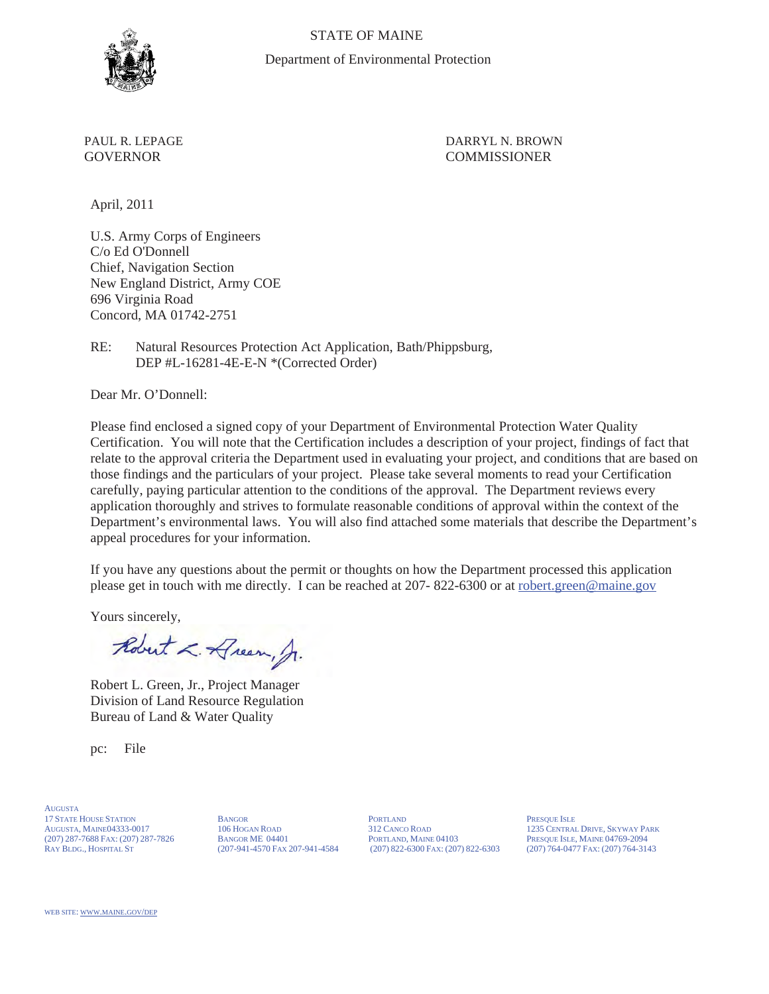

STATE OF MAINE Department of Environmental Protection

PAUL R. LEPAGE DARRYL N. BROWN GOVERNOR COMMISSIONER

April, 2011

U.S. Army Corps of Engineers C/o Ed O'Donnell Chief, Navigation Section New England District, Army COE 696 Virginia Road Concord, MA 01742-2751

RE: Natural Resources Protection Act Application, Bath/Phippsburg, DEP #L-16281-4E-E-N \*(Corrected Order)

Dear Mr. O'Donnell:

Please find enclosed a signed copy of your Department of Environmental Protection Water Quality Certification. You will note that the Certification includes a description of your project, findings of fact that relate to the approval criteria the Department used in evaluating your project, and conditions that are based on those findings and the particulars of your project. Please take several moments to read your Certification carefully, paying particular attention to the conditions of the approval. The Department reviews every application thoroughly and strives to formulate reasonable conditions of approval within the context of the Department's environmental laws. You will also find attached some materials that describe the Department's appeal procedures for your information.

If you have any questions about the permit or thoughts on how the Department processed this application please get in touch with me directly. I can be reached at 207- 822-6300 or at robert.green@maine.gov

Yours sincerely,

Robert L. Dream, Jr.

Robert L. Green, Jr., Project Manager Division of Land Resource Regulation Bureau of Land & Water Quality

pc: File

AUGUSTA 17 STATE HOUSE STATION BANGOR BANGOR PORTLAND PRESQUE ISLE AUGUSTA, MAINE04333-0017 106 HOGAN ROAD 312 CANCO ROAD 1235 CENTRAL (207) 287-7688 FAX: (207) 287-7826 BANGOR ME 04401 PORTLAND, MAINE 04103 PRESQUE ISLE, MAINE 04769-2094<br>RAY BLDG., HOSPITAL ST (207) 764-3143 (207-941-4570 FAX 207-941-4584 (207) 822-6300 FAX: (207) 822-6303 (207) 764-0477

 $(207)$  822-6300 Fax: (207) 822-6303

312 CANCO ROAD 1235 CENTRAL DRIVE, SKYWAY PARK<br>PORTLAND, MAINE 04103 PRESQUE ISLE, MAINE 04769-2094

WEB SITE: WWW.MAINE.GOV/DEP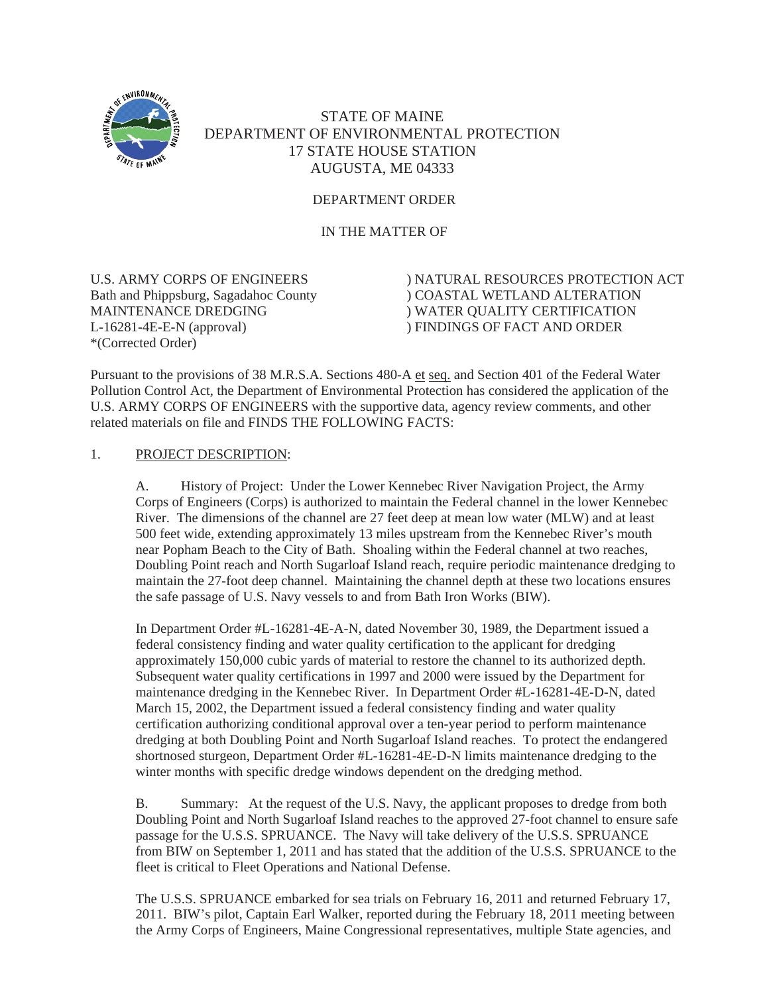

# STATE OF MAINE DEPARTMENT OF ENVIRONMENTAL PROTECTION 17 STATE HOUSE STATION AUGUSTA, ME 04333

# DEPARTMENT ORDER

IN THE MATTER OF

L-16281-4E-E-N (approval) ) FINDINGS OF FACT AND ORDER \*(Corrected Order)

U.S. ARMY CORPS OF ENGINEERS ) NATURAL RESOURCES PROTECTION ACT Bath and Phippsburg, Sagadahoc County ) COASTAL WETLAND ALTERATION MAINTENANCE DREDGING ) WATER OUALITY CERTIFICATION ) WATER QUALITY CERTIFICATION

Pursuant to the provisions of 38 M.R.S.A. Sections 480-A et seq. and Section 401 of the Federal Water Pollution Control Act, the Department of Environmental Protection has considered the application of the U.S. ARMY CORPS OF ENGINEERS with the supportive data, agency review comments, and other related materials on file and FINDS THE FOLLOWING FACTS:

#### 1. PROJECT DESCRIPTION:

A. History of Project: Under the Lower Kennebec River Navigation Project, the Army Corps of Engineers (Corps) is authorized to maintain the Federal channel in the lower Kennebec River. The dimensions of the channel are 27 feet deep at mean low water (MLW) and at least 500 feet wide, extending approximately 13 miles upstream from the Kennebec River's mouth near Popham Beach to the City of Bath. Shoaling within the Federal channel at two reaches, Doubling Point reach and North Sugarloaf Island reach, require periodic maintenance dredging to maintain the 27-foot deep channel. Maintaining the channel depth at these two locations ensures the safe passage of U.S. Navy vessels to and from Bath Iron Works (BIW).

In Department Order #L-16281-4E-A-N, dated November 30, 1989, the Department issued a federal consistency finding and water quality certification to the applicant for dredging approximately 150,000 cubic yards of material to restore the channel to its authorized depth. Subsequent water quality certifications in 1997 and 2000 were issued by the Department for maintenance dredging in the Kennebec River. In Department Order #L-16281-4E-D-N, dated March 15, 2002, the Department issued a federal consistency finding and water quality certification authorizing conditional approval over a ten-year period to perform maintenance dredging at both Doubling Point and North Sugarloaf Island reaches. To protect the endangered shortnosed sturgeon, Department Order #L-16281-4E-D-N limits maintenance dredging to the winter months with specific dredge windows dependent on the dredging method.

B. Summary: At the request of the U.S. Navy, the applicant proposes to dredge from both Doubling Point and North Sugarloaf Island reaches to the approved 27-foot channel to ensure safe passage for the U.S.S. SPRUANCE. The Navy will take delivery of the U.S.S. SPRUANCE from BIW on September 1, 2011 and has stated that the addition of the U.S.S. SPRUANCE to the fleet is critical to Fleet Operations and National Defense.

The U.S.S. SPRUANCE embarked for sea trials on February 16, 2011 and returned February 17, 2011. BIW's pilot, Captain Earl Walker, reported during the February 18, 2011 meeting between the Army Corps of Engineers, Maine Congressional representatives, multiple State agencies, and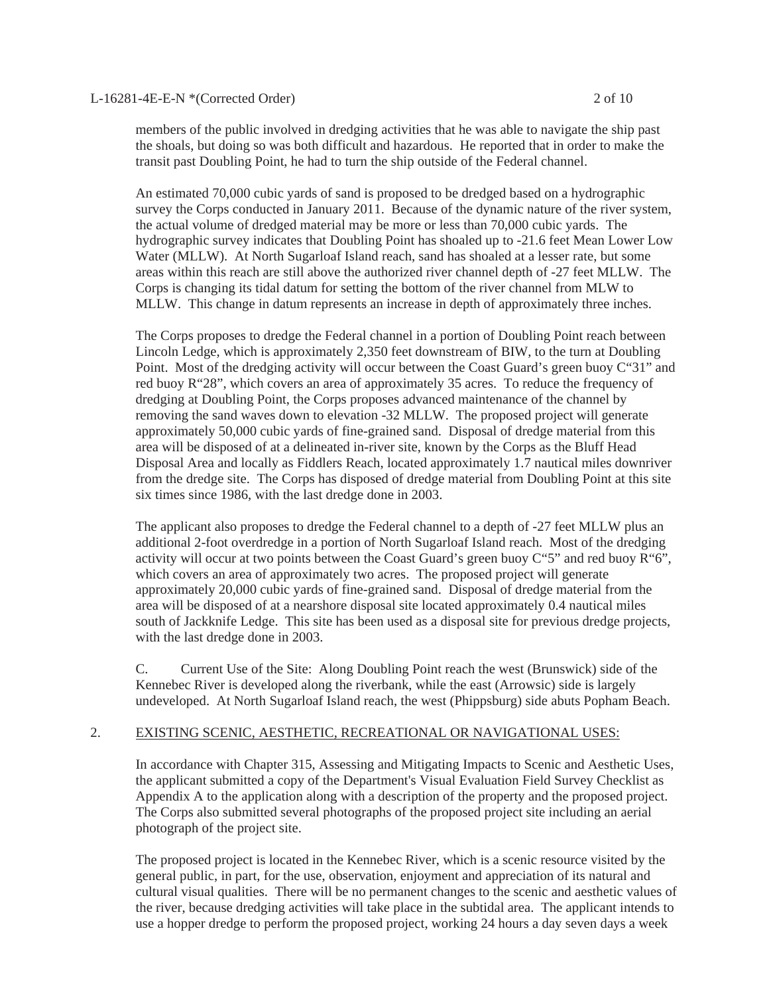#### L-16281-4E-E-N \*(Corrected Order) 2 of 10

members of the public involved in dredging activities that he was able to navigate the ship past the shoals, but doing so was both difficult and hazardous. He reported that in order to make the transit past Doubling Point, he had to turn the ship outside of the Federal channel.

An estimated 70,000 cubic yards of sand is proposed to be dredged based on a hydrographic survey the Corps conducted in January 2011. Because of the dynamic nature of the river system, the actual volume of dredged material may be more or less than 70,000 cubic yards. The hydrographic survey indicates that Doubling Point has shoaled up to -21.6 feet Mean Lower Low Water (MLLW). At North Sugarloaf Island reach, sand has shoaled at a lesser rate, but some areas within this reach are still above the authorized river channel depth of -27 feet MLLW. The Corps is changing its tidal datum for setting the bottom of the river channel from MLW to MLLW. This change in datum represents an increase in depth of approximately three inches.

The Corps proposes to dredge the Federal channel in a portion of Doubling Point reach between Lincoln Ledge, which is approximately 2,350 feet downstream of BIW, to the turn at Doubling Point. Most of the dredging activity will occur between the Coast Guard's green buoy C"31" and red buoy R"28", which covers an area of approximately 35 acres. To reduce the frequency of dredging at Doubling Point, the Corps proposes advanced maintenance of the channel by removing the sand waves down to elevation -32 MLLW. The proposed project will generate approximately 50,000 cubic yards of fine-grained sand. Disposal of dredge material from this area will be disposed of at a delineated in-river site, known by the Corps as the Bluff Head Disposal Area and locally as Fiddlers Reach, located approximately 1.7 nautical miles downriver from the dredge site. The Corps has disposed of dredge material from Doubling Point at this site six times since 1986, with the last dredge done in 2003.

The applicant also proposes to dredge the Federal channel to a depth of -27 feet MLLW plus an additional 2-foot overdredge in a portion of North Sugarloaf Island reach. Most of the dredging activity will occur at two points between the Coast Guard's green buoy  $C^{\prime}5$ " and red buoy  $R^{\prime\prime}6$ ", which covers an area of approximately two acres. The proposed project will generate approximately 20,000 cubic yards of fine-grained sand. Disposal of dredge material from the area will be disposed of at a nearshore disposal site located approximately 0.4 nautical miles south of Jackknife Ledge. This site has been used as a disposal site for previous dredge projects, with the last dredge done in 2003.

C. Current Use of the Site: Along Doubling Point reach the west (Brunswick) side of the Kennebec River is developed along the riverbank, while the east (Arrowsic) side is largely undeveloped. At North Sugarloaf Island reach, the west (Phippsburg) side abuts Popham Beach.

#### 2. EXISTING SCENIC, AESTHETIC, RECREATIONAL OR NAVIGATIONAL USES:

In accordance with Chapter 315, Assessing and Mitigating Impacts to Scenic and Aesthetic Uses, the applicant submitted a copy of the Department's Visual Evaluation Field Survey Checklist as Appendix A to the application along with a description of the property and the proposed project. The Corps also submitted several photographs of the proposed project site including an aerial photograph of the project site.

The proposed project is located in the Kennebec River, which is a scenic resource visited by the general public, in part, for the use, observation, enjoyment and appreciation of its natural and cultural visual qualities. There will be no permanent changes to the scenic and aesthetic values of the river, because dredging activities will take place in the subtidal area. The applicant intends to use a hopper dredge to perform the proposed project, working 24 hours a day seven days a week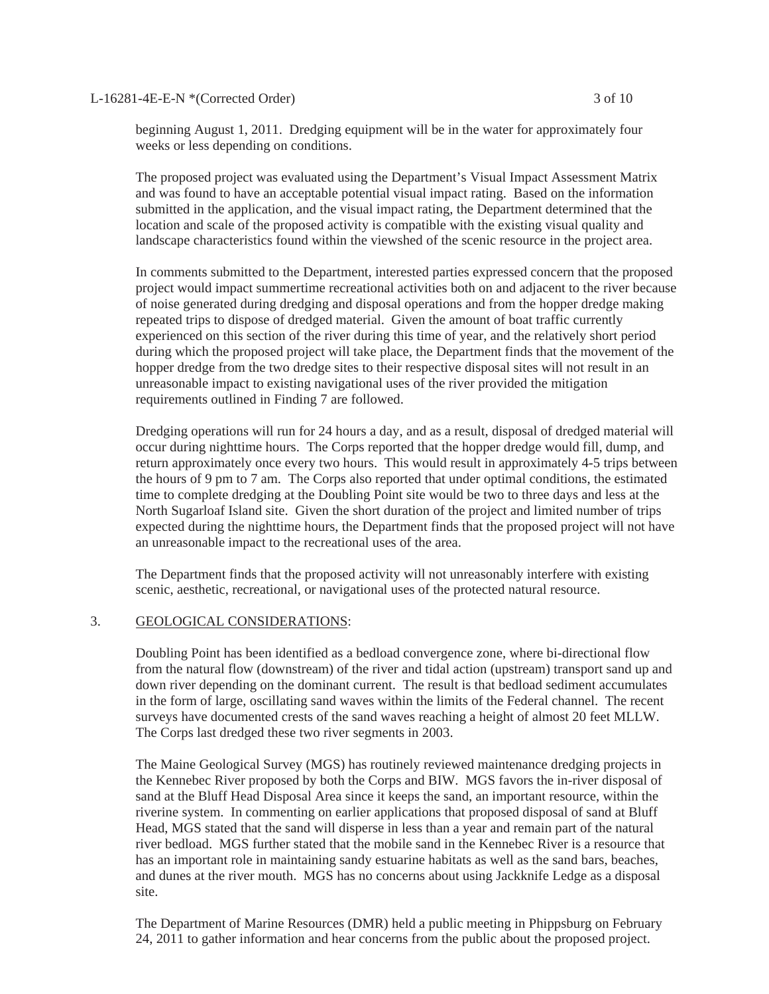L-16281-4E-E-N \*(Corrected Order) 3 of 10

beginning August 1, 2011. Dredging equipment will be in the water for approximately four weeks or less depending on conditions.

The proposed project was evaluated using the Department's Visual Impact Assessment Matrix and was found to have an acceptable potential visual impact rating. Based on the information submitted in the application, and the visual impact rating, the Department determined that the location and scale of the proposed activity is compatible with the existing visual quality and landscape characteristics found within the viewshed of the scenic resource in the project area.

In comments submitted to the Department, interested parties expressed concern that the proposed project would impact summertime recreational activities both on and adjacent to the river because of noise generated during dredging and disposal operations and from the hopper dredge making repeated trips to dispose of dredged material. Given the amount of boat traffic currently experienced on this section of the river during this time of year, and the relatively short period during which the proposed project will take place, the Department finds that the movement of the hopper dredge from the two dredge sites to their respective disposal sites will not result in an unreasonable impact to existing navigational uses of the river provided the mitigation requirements outlined in Finding 7 are followed.

Dredging operations will run for 24 hours a day, and as a result, disposal of dredged material will occur during nighttime hours. The Corps reported that the hopper dredge would fill, dump, and return approximately once every two hours. This would result in approximately 4-5 trips between the hours of 9 pm to 7 am. The Corps also reported that under optimal conditions, the estimated time to complete dredging at the Doubling Point site would be two to three days and less at the North Sugarloaf Island site. Given the short duration of the project and limited number of trips expected during the nighttime hours, the Department finds that the proposed project will not have an unreasonable impact to the recreational uses of the area.

The Department finds that the proposed activity will not unreasonably interfere with existing scenic, aesthetic, recreational, or navigational uses of the protected natural resource.

#### 3. GEOLOGICAL CONSIDERATIONS:

Doubling Point has been identified as a bedload convergence zone, where bi-directional flow from the natural flow (downstream) of the river and tidal action (upstream) transport sand up and down river depending on the dominant current. The result is that bedload sediment accumulates in the form of large, oscillating sand waves within the limits of the Federal channel. The recent surveys have documented crests of the sand waves reaching a height of almost 20 feet MLLW. The Corps last dredged these two river segments in 2003.

The Maine Geological Survey (MGS) has routinely reviewed maintenance dredging projects in the Kennebec River proposed by both the Corps and BIW. MGS favors the in-river disposal of sand at the Bluff Head Disposal Area since it keeps the sand, an important resource, within the riverine system. In commenting on earlier applications that proposed disposal of sand at Bluff Head, MGS stated that the sand will disperse in less than a year and remain part of the natural river bedload. MGS further stated that the mobile sand in the Kennebec River is a resource that has an important role in maintaining sandy estuarine habitats as well as the sand bars, beaches, and dunes at the river mouth. MGS has no concerns about using Jackknife Ledge as a disposal site.

The Department of Marine Resources (DMR) held a public meeting in Phippsburg on February 24, 2011 to gather information and hear concerns from the public about the proposed project.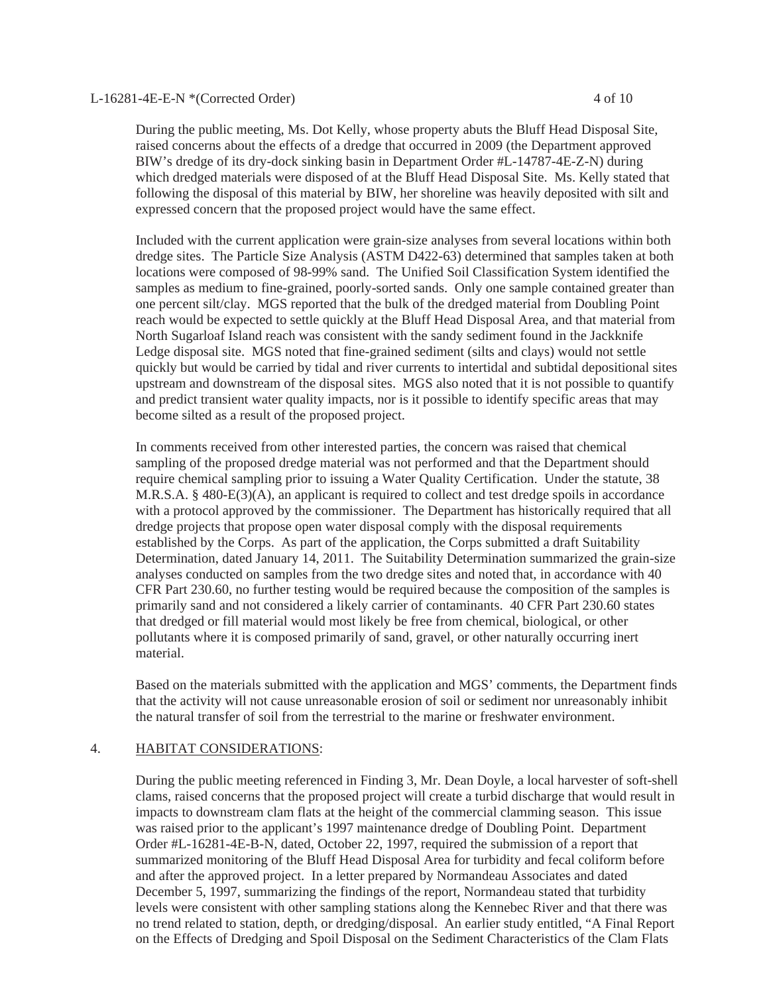#### L-16281-4E-E-N \*(Corrected Order) 4 of 10

During the public meeting, Ms. Dot Kelly, whose property abuts the Bluff Head Disposal Site, raised concerns about the effects of a dredge that occurred in 2009 (the Department approved BIW's dredge of its dry-dock sinking basin in Department Order #L-14787-4E-Z-N) during which dredged materials were disposed of at the Bluff Head Disposal Site. Ms. Kelly stated that following the disposal of this material by BIW, her shoreline was heavily deposited with silt and expressed concern that the proposed project would have the same effect.

Included with the current application were grain-size analyses from several locations within both dredge sites. The Particle Size Analysis (ASTM D422-63) determined that samples taken at both locations were composed of 98-99% sand. The Unified Soil Classification System identified the samples as medium to fine-grained, poorly-sorted sands. Only one sample contained greater than one percent silt/clay. MGS reported that the bulk of the dredged material from Doubling Point reach would be expected to settle quickly at the Bluff Head Disposal Area, and that material from North Sugarloaf Island reach was consistent with the sandy sediment found in the Jackknife Ledge disposal site. MGS noted that fine-grained sediment (silts and clays) would not settle quickly but would be carried by tidal and river currents to intertidal and subtidal depositional sites upstream and downstream of the disposal sites. MGS also noted that it is not possible to quantify and predict transient water quality impacts, nor is it possible to identify specific areas that may become silted as a result of the proposed project.

In comments received from other interested parties, the concern was raised that chemical sampling of the proposed dredge material was not performed and that the Department should require chemical sampling prior to issuing a Water Quality Certification. Under the statute, 38 M.R.S.A. § 480-E(3)(A), an applicant is required to collect and test dredge spoils in accordance with a protocol approved by the commissioner. The Department has historically required that all dredge projects that propose open water disposal comply with the disposal requirements established by the Corps. As part of the application, the Corps submitted a draft Suitability Determination, dated January 14, 2011. The Suitability Determination summarized the grain-size analyses conducted on samples from the two dredge sites and noted that, in accordance with 40 CFR Part 230.60, no further testing would be required because the composition of the samples is primarily sand and not considered a likely carrier of contaminants. 40 CFR Part 230.60 states that dredged or fill material would most likely be free from chemical, biological, or other pollutants where it is composed primarily of sand, gravel, or other naturally occurring inert material.

Based on the materials submitted with the application and MGS' comments, the Department finds that the activity will not cause unreasonable erosion of soil or sediment nor unreasonably inhibit the natural transfer of soil from the terrestrial to the marine or freshwater environment.

#### 4. HABITAT CONSIDERATIONS:

During the public meeting referenced in Finding 3, Mr. Dean Doyle, a local harvester of soft-shell clams, raised concerns that the proposed project will create a turbid discharge that would result in impacts to downstream clam flats at the height of the commercial clamming season. This issue was raised prior to the applicant's 1997 maintenance dredge of Doubling Point. Department Order #L-16281-4E-B-N, dated, October 22, 1997, required the submission of a report that summarized monitoring of the Bluff Head Disposal Area for turbidity and fecal coliform before and after the approved project. In a letter prepared by Normandeau Associates and dated December 5, 1997, summarizing the findings of the report, Normandeau stated that turbidity levels were consistent with other sampling stations along the Kennebec River and that there was no trend related to station, depth, or dredging/disposal. An earlier study entitled, "A Final Report on the Effects of Dredging and Spoil Disposal on the Sediment Characteristics of the Clam Flats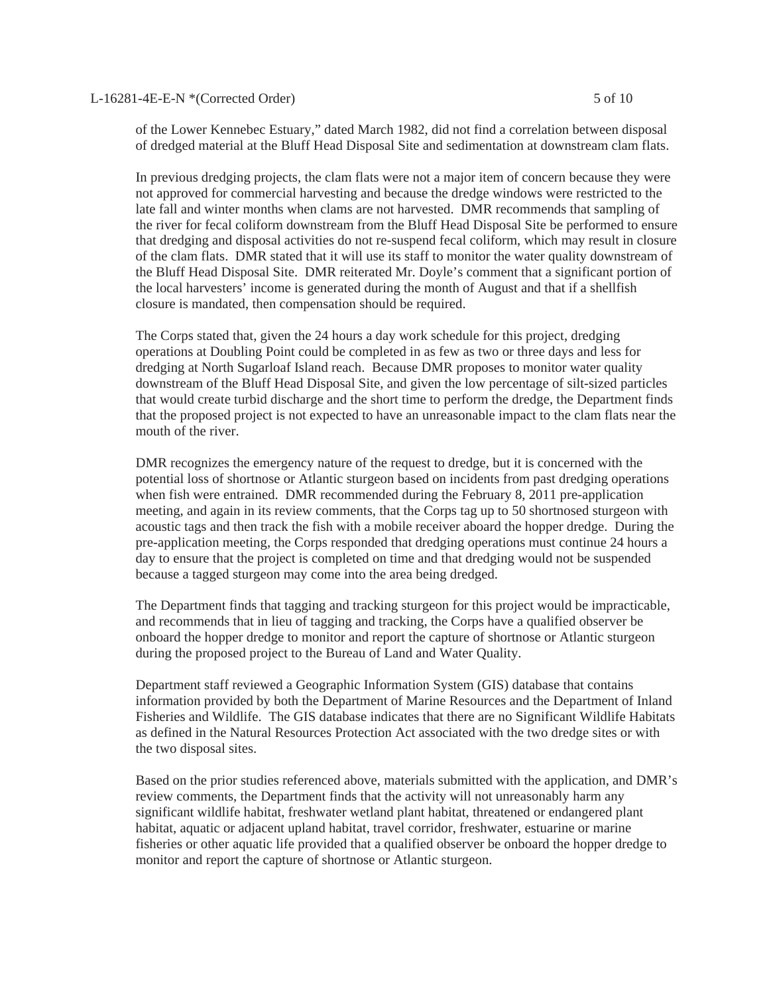of the Lower Kennebec Estuary," dated March 1982, did not find a correlation between disposal of dredged material at the Bluff Head Disposal Site and sedimentation at downstream clam flats.

In previous dredging projects, the clam flats were not a major item of concern because they were not approved for commercial harvesting and because the dredge windows were restricted to the late fall and winter months when clams are not harvested. DMR recommends that sampling of the river for fecal coliform downstream from the Bluff Head Disposal Site be performed to ensure that dredging and disposal activities do not re-suspend fecal coliform, which may result in closure of the clam flats. DMR stated that it will use its staff to monitor the water quality downstream of the Bluff Head Disposal Site. DMR reiterated Mr. Doyle's comment that a significant portion of the local harvesters' income is generated during the month of August and that if a shellfish closure is mandated, then compensation should be required.

The Corps stated that, given the 24 hours a day work schedule for this project, dredging operations at Doubling Point could be completed in as few as two or three days and less for dredging at North Sugarloaf Island reach. Because DMR proposes to monitor water quality downstream of the Bluff Head Disposal Site, and given the low percentage of silt-sized particles that would create turbid discharge and the short time to perform the dredge, the Department finds that the proposed project is not expected to have an unreasonable impact to the clam flats near the mouth of the river.

DMR recognizes the emergency nature of the request to dredge, but it is concerned with the potential loss of shortnose or Atlantic sturgeon based on incidents from past dredging operations when fish were entrained. DMR recommended during the February 8, 2011 pre-application meeting, and again in its review comments, that the Corps tag up to 50 shortnosed sturgeon with acoustic tags and then track the fish with a mobile receiver aboard the hopper dredge. During the pre-application meeting, the Corps responded that dredging operations must continue 24 hours a day to ensure that the project is completed on time and that dredging would not be suspended because a tagged sturgeon may come into the area being dredged.

The Department finds that tagging and tracking sturgeon for this project would be impracticable, and recommends that in lieu of tagging and tracking, the Corps have a qualified observer be onboard the hopper dredge to monitor and report the capture of shortnose or Atlantic sturgeon during the proposed project to the Bureau of Land and Water Quality.

Department staff reviewed a Geographic Information System (GIS) database that contains information provided by both the Department of Marine Resources and the Department of Inland Fisheries and Wildlife. The GIS database indicates that there are no Significant Wildlife Habitats as defined in the Natural Resources Protection Act associated with the two dredge sites or with the two disposal sites.

Based on the prior studies referenced above, materials submitted with the application, and DMR's review comments, the Department finds that the activity will not unreasonably harm any significant wildlife habitat, freshwater wetland plant habitat, threatened or endangered plant habitat, aquatic or adjacent upland habitat, travel corridor, freshwater, estuarine or marine fisheries or other aquatic life provided that a qualified observer be onboard the hopper dredge to monitor and report the capture of shortnose or Atlantic sturgeon.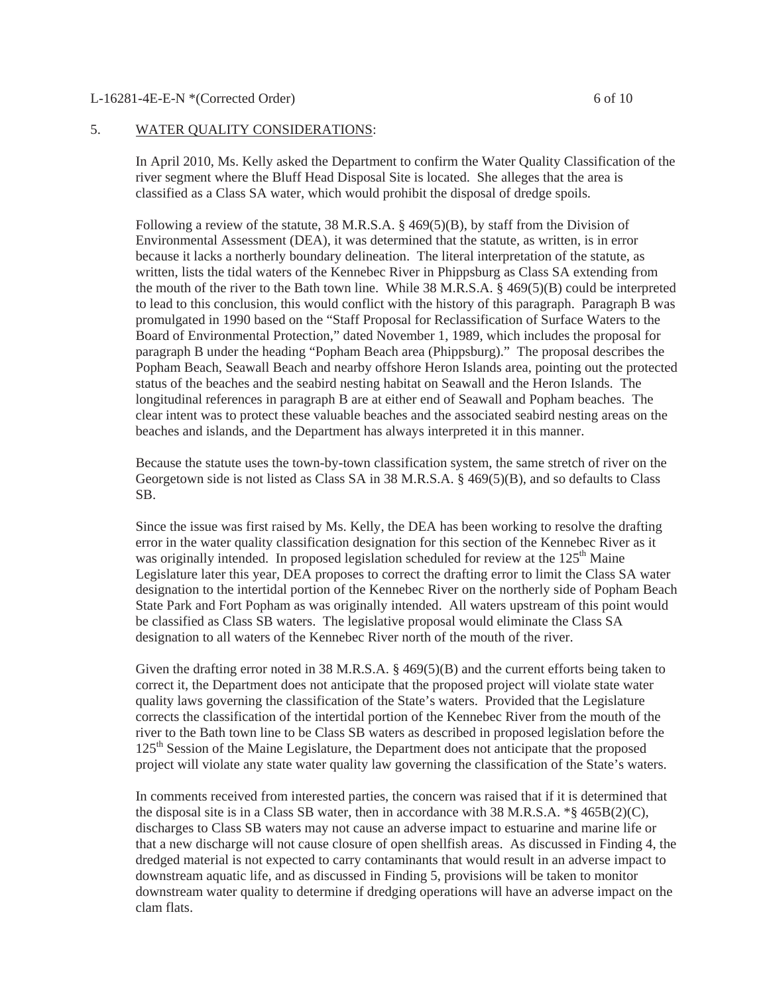#### L-16281-4E-E-N \*(Corrected Order) 6 of 10

#### 5. WATER QUALITY CONSIDERATIONS:

In April 2010, Ms. Kelly asked the Department to confirm the Water Quality Classification of the river segment where the Bluff Head Disposal Site is located. She alleges that the area is classified as a Class SA water, which would prohibit the disposal of dredge spoils.

Following a review of the statute, 38 M.R.S.A. § 469(5)(B), by staff from the Division of Environmental Assessment (DEA), it was determined that the statute, as written, is in error because it lacks a northerly boundary delineation. The literal interpretation of the statute, as written, lists the tidal waters of the Kennebec River in Phippsburg as Class SA extending from the mouth of the river to the Bath town line. While  $38$  M.R.S.A.  $\S$  469(5)(B) could be interpreted to lead to this conclusion, this would conflict with the history of this paragraph. Paragraph B was promulgated in 1990 based on the "Staff Proposal for Reclassification of Surface Waters to the Board of Environmental Protection," dated November 1, 1989, which includes the proposal for paragraph B under the heading "Popham Beach area (Phippsburg)." The proposal describes the Popham Beach, Seawall Beach and nearby offshore Heron Islands area, pointing out the protected status of the beaches and the seabird nesting habitat on Seawall and the Heron Islands. The longitudinal references in paragraph B are at either end of Seawall and Popham beaches. The clear intent was to protect these valuable beaches and the associated seabird nesting areas on the beaches and islands, and the Department has always interpreted it in this manner.

Because the statute uses the town-by-town classification system, the same stretch of river on the Georgetown side is not listed as Class SA in 38 M.R.S.A. § 469(5)(B), and so defaults to Class SB.

Since the issue was first raised by Ms. Kelly, the DEA has been working to resolve the drafting error in the water quality classification designation for this section of the Kennebec River as it was originally intended. In proposed legislation scheduled for review at the  $125<sup>th</sup>$  Maine Legislature later this year, DEA proposes to correct the drafting error to limit the Class SA water designation to the intertidal portion of the Kennebec River on the northerly side of Popham Beach State Park and Fort Popham as was originally intended. All waters upstream of this point would be classified as Class SB waters. The legislative proposal would eliminate the Class SA designation to all waters of the Kennebec River north of the mouth of the river.

Given the drafting error noted in 38 M.R.S.A. § 469(5)(B) and the current efforts being taken to correct it, the Department does not anticipate that the proposed project will violate state water quality laws governing the classification of the State's waters. Provided that the Legislature corrects the classification of the intertidal portion of the Kennebec River from the mouth of the river to the Bath town line to be Class SB waters as described in proposed legislation before the 125th Session of the Maine Legislature, the Department does not anticipate that the proposed project will violate any state water quality law governing the classification of the State's waters.

In comments received from interested parties, the concern was raised that if it is determined that the disposal site is in a Class SB water, then in accordance with 38 M.R.S.A.  $\frac{1}{5}$  465B(2)(C), discharges to Class SB waters may not cause an adverse impact to estuarine and marine life or that a new discharge will not cause closure of open shellfish areas. As discussed in Finding 4, the dredged material is not expected to carry contaminants that would result in an adverse impact to downstream aquatic life, and as discussed in Finding 5, provisions will be taken to monitor downstream water quality to determine if dredging operations will have an adverse impact on the clam flats.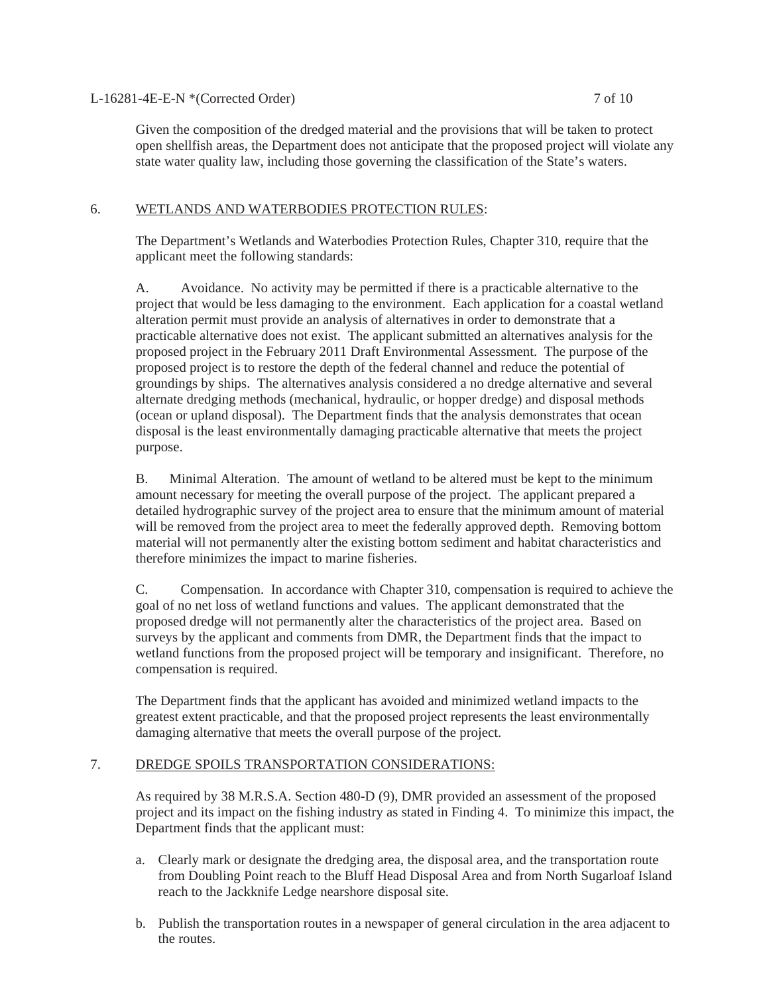#### L-16281-4E-E-N \*(Corrected Order) 7 of 10

Given the composition of the dredged material and the provisions that will be taken to protect open shellfish areas, the Department does not anticipate that the proposed project will violate any state water quality law, including those governing the classification of the State's waters.

#### 6. WETLANDS AND WATERBODIES PROTECTION RULES:

The Department's Wetlands and Waterbodies Protection Rules, Chapter 310, require that the applicant meet the following standards:

A. Avoidance. No activity may be permitted if there is a practicable alternative to the project that would be less damaging to the environment. Each application for a coastal wetland alteration permit must provide an analysis of alternatives in order to demonstrate that a practicable alternative does not exist. The applicant submitted an alternatives analysis for the proposed project in the February 2011 Draft Environmental Assessment. The purpose of the proposed project is to restore the depth of the federal channel and reduce the potential of groundings by ships. The alternatives analysis considered a no dredge alternative and several alternate dredging methods (mechanical, hydraulic, or hopper dredge) and disposal methods (ocean or upland disposal). The Department finds that the analysis demonstrates that ocean disposal is the least environmentally damaging practicable alternative that meets the project purpose.

B. Minimal Alteration. The amount of wetland to be altered must be kept to the minimum amount necessary for meeting the overall purpose of the project. The applicant prepared a detailed hydrographic survey of the project area to ensure that the minimum amount of material will be removed from the project area to meet the federally approved depth. Removing bottom material will not permanently alter the existing bottom sediment and habitat characteristics and therefore minimizes the impact to marine fisheries.

C.Compensation. In accordance with Chapter 310, compensation is required to achieve the goal of no net loss of wetland functions and values. The applicant demonstrated that the proposed dredge will not permanently alter the characteristics of the project area. Based on surveys by the applicant and comments from DMR, the Department finds that the impact to wetland functions from the proposed project will be temporary and insignificant. Therefore, no compensation is required.

The Department finds that the applicant has avoided and minimized wetland impacts to the greatest extent practicable, and that the proposed project represents the least environmentally damaging alternative that meets the overall purpose of the project.

#### 7. DREDGE SPOILS TRANSPORTATION CONSIDERATIONS:

As required by 38 M.R.S.A. Section 480-D (9), DMR provided an assessment of the proposed project and its impact on the fishing industry as stated in Finding 4. To minimize this impact, the Department finds that the applicant must:

- a. Clearly mark or designate the dredging area, the disposal area, and the transportation route from Doubling Point reach to the Bluff Head Disposal Area and from North Sugarloaf Island reach to the Jackknife Ledge nearshore disposal site.
- b. Publish the transportation routes in a newspaper of general circulation in the area adjacent to the routes.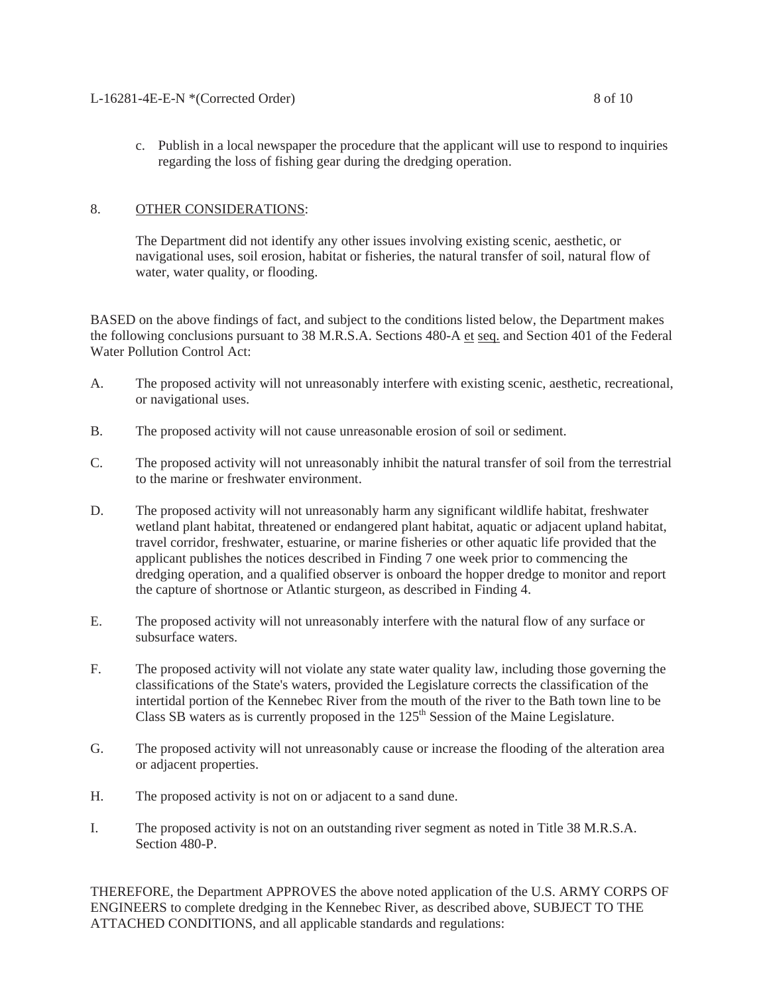# 8. OTHER CONSIDERATIONS:

The Department did not identify any other issues involving existing scenic, aesthetic, or navigational uses, soil erosion, habitat or fisheries, the natural transfer of soil, natural flow of water, water quality, or flooding.

BASED on the above findings of fact, and subject to the conditions listed below, the Department makes the following conclusions pursuant to 38 M.R.S.A. Sections 480-A et seq. and Section 401 of the Federal Water Pollution Control Act:

- A. The proposed activity will not unreasonably interfere with existing scenic, aesthetic, recreational, or navigational uses.
- B. The proposed activity will not cause unreasonable erosion of soil or sediment.
- C. The proposed activity will not unreasonably inhibit the natural transfer of soil from the terrestrial to the marine or freshwater environment.
- D. The proposed activity will not unreasonably harm any significant wildlife habitat, freshwater wetland plant habitat, threatened or endangered plant habitat, aquatic or adjacent upland habitat, travel corridor, freshwater, estuarine, or marine fisheries or other aquatic life provided that the applicant publishes the notices described in Finding 7 one week prior to commencing the dredging operation, and a qualified observer is onboard the hopper dredge to monitor and report the capture of shortnose or Atlantic sturgeon, as described in Finding 4.
- E. The proposed activity will not unreasonably interfere with the natural flow of any surface or subsurface waters.
- F. The proposed activity will not violate any state water quality law, including those governing the classifications of the State's waters, provided the Legislature corrects the classification of the intertidal portion of the Kennebec River from the mouth of the river to the Bath town line to be Class SB waters as is currently proposed in the  $125<sup>th</sup>$  Session of the Maine Legislature.
- G. The proposed activity will not unreasonably cause or increase the flooding of the alteration area or adjacent properties.
- H. The proposed activity is not on or adjacent to a sand dune.
- I. The proposed activity is not on an outstanding river segment as noted in Title 38 M.R.S.A. Section 480-P

THEREFORE, the Department APPROVES the above noted application of the U.S. ARMY CORPS OF ENGINEERS to complete dredging in the Kennebec River, as described above, SUBJECT TO THE ATTACHED CONDITIONS, and all applicable standards and regulations: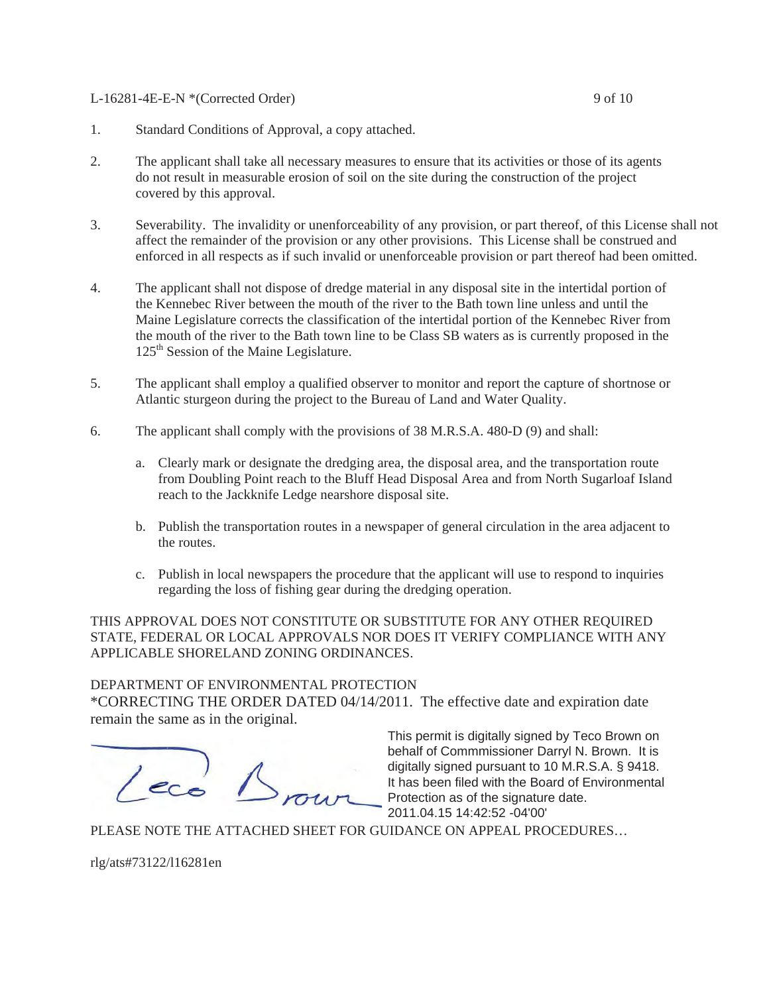#### L-16281-4E-E-N \*(Corrected Order) 9 of 10

- 1. Standard Conditions of Approval, a copy attached.
- 2. The applicant shall take all necessary measures to ensure that its activities or those of its agents do not result in measurable erosion of soil on the site during the construction of the project covered by this approval.
- 3. Severability. The invalidity or unenforceability of any provision, or part thereof, of this License shall not affect the remainder of the provision or any other provisions. This License shall be construed and enforced in all respects as if such invalid or unenforceable provision or part thereof had been omitted.
- 4. The applicant shall not dispose of dredge material in any disposal site in the intertidal portion of the Kennebec River between the mouth of the river to the Bath town line unless and until the Maine Legislature corrects the classification of the intertidal portion of the Kennebec River from the mouth of the river to the Bath town line to be Class SB waters as is currently proposed in the 125<sup>th</sup> Session of the Maine Legislature.
- 5. The applicant shall employ a qualified observer to monitor and report the capture of shortnose or Atlantic sturgeon during the project to the Bureau of Land and Water Quality.
- 6. The applicant shall comply with the provisions of 38 M.R.S.A. 480-D (9) and shall:
	- a. Clearly mark or designate the dredging area, the disposal area, and the transportation route from Doubling Point reach to the Bluff Head Disposal Area and from North Sugarloaf Island reach to the Jackknife Ledge nearshore disposal site.
	- b. Publish the transportation routes in a newspaper of general circulation in the area adjacent to the routes.
	- c. Publish in local newspapers the procedure that the applicant will use to respond to inquiries regarding the loss of fishing gear during the dredging operation.

THIS APPROVAL DOES NOT CONSTITUTE OR SUBSTITUTE FOR ANY OTHER REQUIRED STATE, FEDERAL OR LOCAL APPROVALS NOR DOES IT VERIFY COMPLIANCE WITH ANY APPLICABLE SHORELAND ZONING ORDINANCES.

#### DEPARTMENT OF ENVIRONMENTAL PROTECTION

\*CORRECTING THE ORDER DATED 04/14/2011. The effective date and expiration date remain the same as in the original.

 $($ 

This permit is digitally signed by Teco Brown on behalf of Commmissioner Darryl N. Brown. It is digitally signed pursuant to 10 M.R.S.A. § 9418. It has been filed with the Board of Environmental Protection as of the signature date. 2011.04.15 14:42:52 -04'00'

PLEASE NOTE THE ATTACHED SHEET FOR GUIDANCE ON APPEAL PROCEDURES…

rlg/ats#73122/l16281en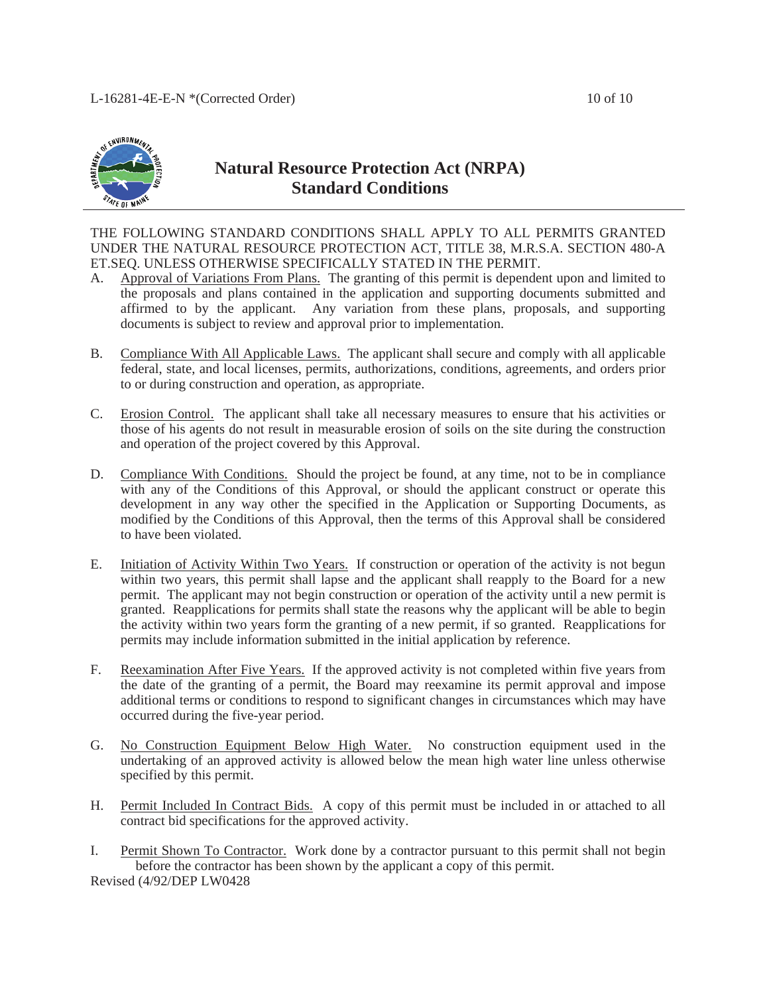

# **Natural Resource Protection Act (NRPA) Standard Conditions**

THE FOLLOWING STANDARD CONDITIONS SHALL APPLY TO ALL PERMITS GRANTED UNDER THE NATURAL RESOURCE PROTECTION ACT, TITLE 38, M.R.S.A. SECTION 480-A ET.SEQ. UNLESS OTHERWISE SPECIFICALLY STATED IN THE PERMIT.

- A. Approval of Variations From Plans. The granting of this permit is dependent upon and limited to the proposals and plans contained in the application and supporting documents submitted and affirmed to by the applicant. Any variation from these plans, proposals, and supporting documents is subject to review and approval prior to implementation.
- B. Compliance With All Applicable Laws. The applicant shall secure and comply with all applicable federal, state, and local licenses, permits, authorizations, conditions, agreements, and orders prior to or during construction and operation, as appropriate.
- C. Erosion Control. The applicant shall take all necessary measures to ensure that his activities or those of his agents do not result in measurable erosion of soils on the site during the construction and operation of the project covered by this Approval.
- D. Compliance With Conditions. Should the project be found, at any time, not to be in compliance with any of the Conditions of this Approval, or should the applicant construct or operate this development in any way other the specified in the Application or Supporting Documents, as modified by the Conditions of this Approval, then the terms of this Approval shall be considered to have been violated.
- E. Initiation of Activity Within Two Years. If construction or operation of the activity is not begun within two years, this permit shall lapse and the applicant shall reapply to the Board for a new permit. The applicant may not begin construction or operation of the activity until a new permit is granted. Reapplications for permits shall state the reasons why the applicant will be able to begin the activity within two years form the granting of a new permit, if so granted. Reapplications for permits may include information submitted in the initial application by reference.
- F. Reexamination After Five Years. If the approved activity is not completed within five years from the date of the granting of a permit, the Board may reexamine its permit approval and impose additional terms or conditions to respond to significant changes in circumstances which may have occurred during the five-year period.
- G. No Construction Equipment Below High Water. No construction equipment used in the undertaking of an approved activity is allowed below the mean high water line unless otherwise specified by this permit.
- H. Permit Included In Contract Bids. A copy of this permit must be included in or attached to all contract bid specifications for the approved activity.
- I. Permit Shown To Contractor. Work done by a contractor pursuant to this permit shall not begin before the contractor has been shown by the applicant a copy of this permit. Revised (4/92/DEP LW0428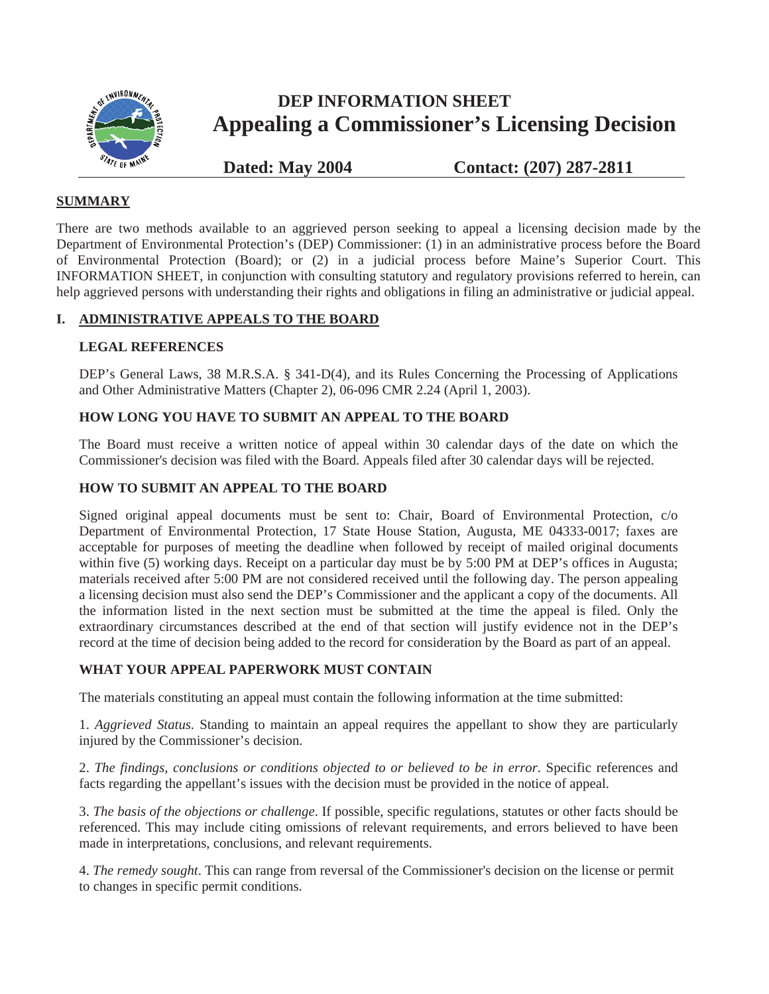

# **DEP INFORMATION SHEET Appealing a Commissioner's Licensing Decision**

**Dated: May 2004 Contact: (207) 287-2811**

# **SUMMARY**

There are two methods available to an aggrieved person seeking to appeal a licensing decision made by the Department of Environmental Protection's (DEP) Commissioner: (1) in an administrative process before the Board of Environmental Protection (Board); or (2) in a judicial process before Maine's Superior Court. This INFORMATION SHEET, in conjunction with consulting statutory and regulatory provisions referred to herein, can help aggrieved persons with understanding their rights and obligations in filing an administrative or judicial appeal.

# **I. ADMINISTRATIVE APPEALS TO THE BOARD**

# **LEGAL REFERENCES**

DEP's General Laws, 38 M.R.S.A. § 341-D(4), and its Rules Concerning the Processing of Applications and Other Administrative Matters (Chapter 2), 06-096 CMR 2.24 (April 1, 2003).

# **HOW LONG YOU HAVE TO SUBMIT AN APPEAL TO THE BOARD**

The Board must receive a written notice of appeal within 30 calendar days of the date on which the Commissioner's decision was filed with the Board. Appeals filed after 30 calendar days will be rejected.

# **HOW TO SUBMIT AN APPEAL TO THE BOARD**

Signed original appeal documents must be sent to: Chair, Board of Environmental Protection, c/o Department of Environmental Protection, 17 State House Station, Augusta, ME 04333-0017; faxes are acceptable for purposes of meeting the deadline when followed by receipt of mailed original documents within five (5) working days. Receipt on a particular day must be by 5:00 PM at DEP's offices in Augusta; materials received after 5:00 PM are not considered received until the following day. The person appealing a licensing decision must also send the DEP's Commissioner and the applicant a copy of the documents. All the information listed in the next section must be submitted at the time the appeal is filed. Only the extraordinary circumstances described at the end of that section will justify evidence not in the DEP's record at the time of decision being added to the record for consideration by the Board as part of an appeal.

# **WHAT YOUR APPEAL PAPERWORK MUST CONTAIN**

The materials constituting an appeal must contain the following information at the time submitted:

1. *Aggrieved Status*. Standing to maintain an appeal requires the appellant to show they are particularly injured by the Commissioner's decision.

2. *The findings, conclusions or conditions objected to or believed to be in error*. Specific references and facts regarding the appellant's issues with the decision must be provided in the notice of appeal.

3. *The basis of the objections or challenge*. If possible, specific regulations, statutes or other facts should be referenced. This may include citing omissions of relevant requirements, and errors believed to have been made in interpretations, conclusions, and relevant requirements.

4. *The remedy sought*. This can range from reversal of the Commissioner's decision on the license or permit to changes in specific permit conditions.